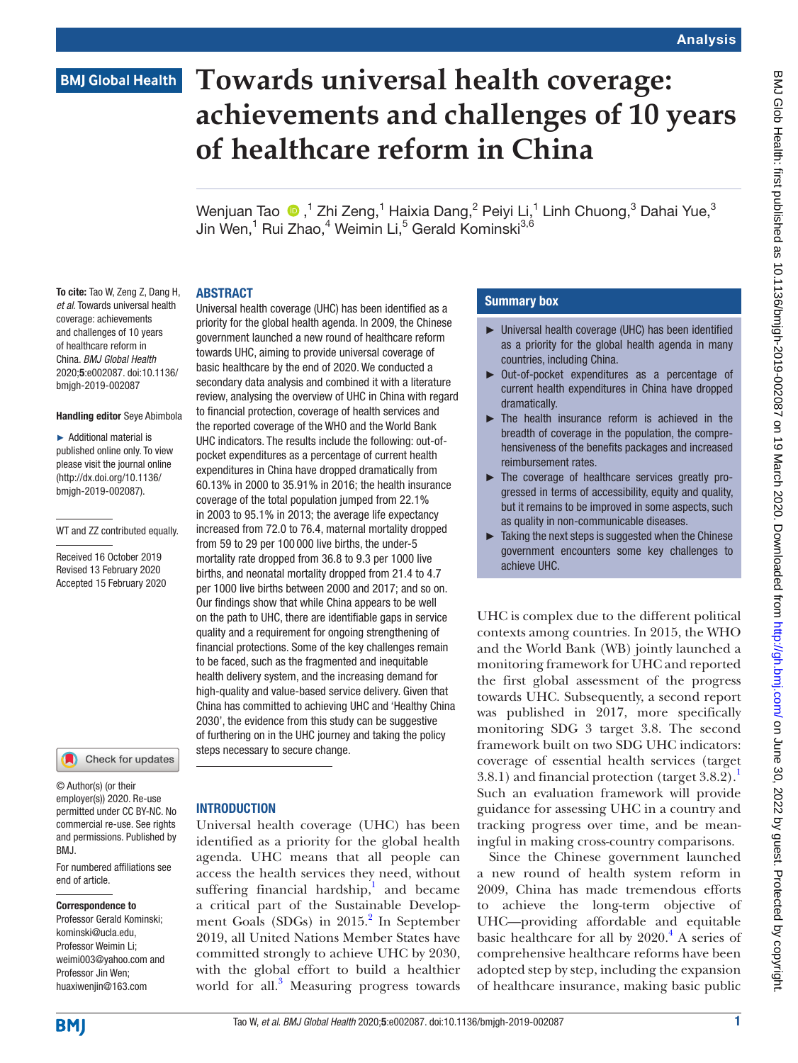# **BMJ Global Health**

# **Towards universal health coverage: achievements and challenges of 10 years of healthcare reform in China**

WenjuanTao  $\bigcirc$  , $^1$  Zhi Zeng, $^1$  Haixia Dang, $^2$  Peiyi Li, $^1$  Linh Chuong, $^3$  Dahai Yue, $^3$ Jin Wen,<sup>1</sup> Rui Zhao,<sup>4</sup> Weimin Li,<sup>5</sup> Gerald Kominski<sup>3,6</sup>

#### **ABSTRACT**

To cite: Tao W, Zeng Z, Dang H, *et al*. Towards universal health coverage: achievements and challenges of 10 years of healthcare reform in China. *BMJ Global Health* 2020;5:e002087. doi:10.1136/ bmjgh-2019-002087

#### Handling editor Seye Abimbola

► Additional material is published online only. To view please visit the journal online (http://dx.doi.org/10.1136/ bmjgh-2019-002087).

WT and ZZ contributed equally.

Received 16 October 2019 Revised 13 February 2020 Accepted 15 February 2020

Check for updates

© Author(s) (or their employer(s)) 2020. Re-use permitted under CC BY-NC. No commercial re-use. See rights and permissions. Published by BMJ.

For numbered affiliations see end of article.

#### Correspondence to

Professor Gerald Kominski; kominski@ucla.edu, Professor Weimin Li; weimi003@yahoo.com and Professor Jin Wen; huaxiwenjin@163.com

Universal health coverage (UHC) has been identified as a priority for the global health agenda. In 2009, the Chinese government launched a new round of healthcare reform towards UHC, aiming to provide universal coverage of basic healthcare by the end of 2020. We conducted a secondary data analysis and combined it with a literature review, analysing the overview of UHC in China with regard to financial protection, coverage of health services and the reported coverage of the WHO and the World Bank UHC indicators. The results include the following: out-ofpocket expenditures as a percentage of current health expenditures in China have dropped dramatically from 60.13% in 2000 to 35.91% in 2016; the health insurance coverage of the total population jumped from 22.1% in 2003 to 95.1% in 2013; the average life expectancy increased from 72.0 to 76.4, maternal mortality dropped from 59 to 29 per 100 000 live births, the under-5 mortality rate dropped from 36.8 to 9.3 per 1000 live births, and neonatal mortality dropped from 21.4 to 4.7 per 1000 live births between 2000 and 2017; and so on. Our findings show that while China appears to be well on the path to UHC, there are identifiable gaps in service quality and a requirement for ongoing strengthening of financial protections. Some of the key challenges remain to be faced, such as the fragmented and inequitable health delivery system, and the increasing demand for high-quality and value-based service delivery. Given that China has committed to achieving UHC and 'Healthy China 2030', the evidence from this study can be suggestive of furthering on in the UHC journey and taking the policy steps necessary to secure change.

#### **INTRODUCTION**

Universal health coverage (UHC) has been identified as a priority for the global health agenda. UHC means that all people can access the health services they need, without suffering financial hardship, $1$  and became a critical part of the Sustainable Develop-ment Goals (SDGs) in [2](#page-7-1)015.<sup>2</sup> In September 2019, all United Nations Member States have committed strongly to achieve UHC by 2030, with the global effort to build a healthier world for all.<sup>[3](#page-7-2)</sup> Measuring progress towards

#### Summary box

- ► Universal health coverage (UHC) has been identified as a priority for the global health agenda in many countries, including China.
- ► Out-of-pocket expenditures as a percentage of current health expenditures in China have dropped dramatically.
- $\blacktriangleright$  The health insurance reform is achieved in the breadth of coverage in the population, the comprehensiveness of the benefits packages and increased reimbursement rates.
- ► The coverage of healthcare services greatly progressed in terms of accessibility, equity and quality, but it remains to be improved in some aspects, such as quality in non-communicable diseases.
- ► Taking the next steps is suggested when the Chinese government encounters some key challenges to achieve UHC.

UHC is complex due to the different political contexts among countries. In 2015, the WHO and the World Bank (WB) jointly launched a monitoring framework for UHC and reported the first global assessment of the progress towards UHC. Subsequently, a second report was published in 2017, more specifically monitoring SDG 3 target 3.8. The second framework built on two SDG UHC indicators: coverage of essential health services (target 3.8.[1](#page-7-0)) and financial protection (target  $3.8.2$ ).<sup>1</sup> Such an evaluation framework will provide guidance for assessing UHC in a country and tracking progress over time, and be meaningful in making cross-country comparisons.

Since the Chinese government launched a new round of health system reform in 2009, China has made tremendous efforts to achieve the long-term objective of UHC—providing affordable and equitable basic healthcare for all by  $2020<sup>4</sup>$  A series of comprehensive healthcare reforms have been adopted step by step, including the expansion of healthcare insurance, making basic public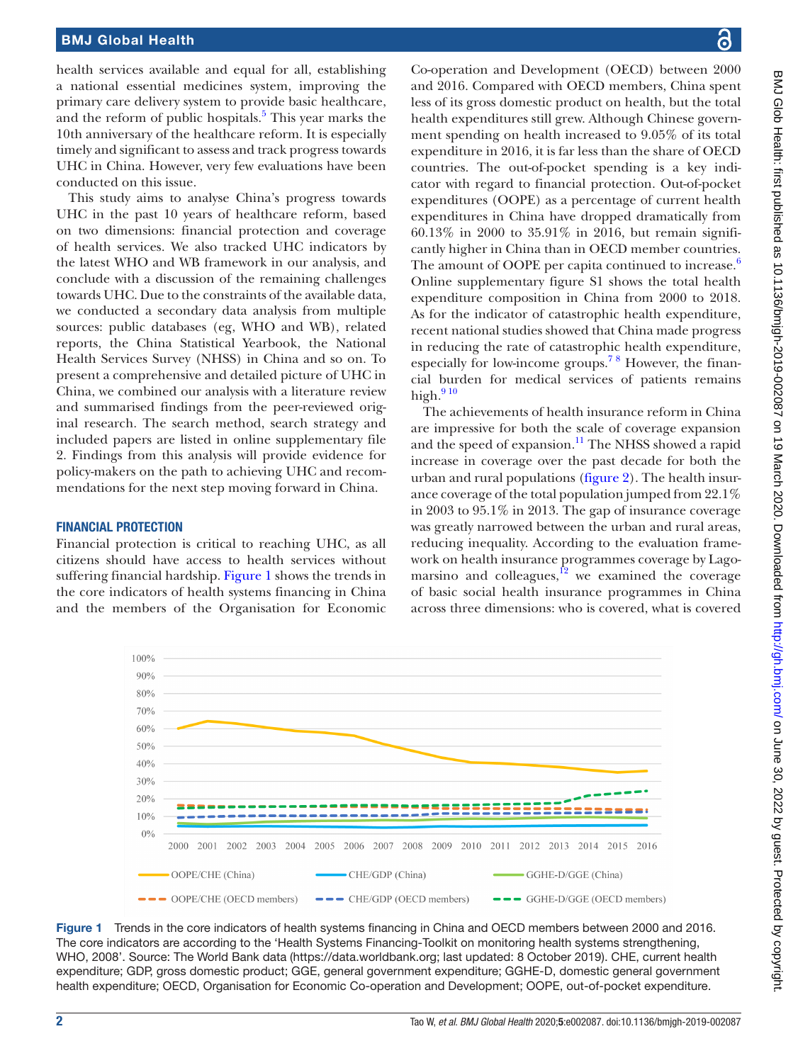health services available and equal for all, establishing a national essential medicines system, improving the primary care delivery system to provide basic healthcare, and the reform of public hospitals. $5$  This year marks the 10th anniversary of the healthcare reform. It is especially timely and significant to assess and track progress towards UHC in China. However, very few evaluations have been conducted on this issue.

This study aims to analyse China's progress towards UHC in the past 10 years of healthcare reform, based on two dimensions: financial protection and coverage of health services. We also tracked UHC indicators by the latest WHO and WB framework in our analysis, and conclude with a discussion of the remaining challenges towards UHC. Due to the constraints of the available data, we conducted a secondary data analysis from multiple sources: public databases (eg, WHO and WB), related reports, the China Statistical Yearbook, the National Health Services Survey (NHSS) in China and so on. To present a comprehensive and detailed picture of UHC in China, we combined our analysis with a literature review and summarised findings from the peer-reviewed original research. The search method, search strategy and included papers are listed in [online supplementary file](https://dx.doi.org/10.1136/bmjgh-2019-002087) [2](https://dx.doi.org/10.1136/bmjgh-2019-002087). Findings from this analysis will provide evidence for policy-makers on the path to achieving UHC and recommendations for the next step moving forward in China.

#### Financial protection

Financial protection is critical to reaching UHC, as all citizens should have access to health services without suffering financial hardship. [Figure](#page-1-0) 1 shows the trends in the core indicators of health systems financing in China and the members of the Organisation for Economic

Co-operation and Development (OECD) between 2000 and 2016. Compared with OECD members, China spent less of its gross domestic product on health, but the total health expenditures still grew. Although Chinese government spending on health increased to 9.05% of its total expenditure in 2016, it is far less than the share of OECD countries. The out-of-pocket spending is a key indicator with regard to financial protection. Out-of-pocket expenditures (OOPE) as a percentage of current health expenditures in China have dropped dramatically from 60.13% in 2000 to 35.91% in 2016, but remain significantly higher in China than in OECD member countries. The amount of OOPE per capita continued to increase.<sup>[6](#page-7-5)</sup> [Online supplementary figure S1](https://dx.doi.org/10.1136/bmjgh-2019-002087) shows the total health expenditure composition in China from 2000 to 2018. As for the indicator of catastrophic health expenditure, recent national studies showed that China made progress in reducing the rate of catastrophic health expenditure, especially for low-income groups.<sup>78</sup> However, the financial burden for medical services of patients remains high. $910$ 

The achievements of health insurance reform in China are impressive for both the scale of coverage expansion and the speed of expansion.<sup>11</sup> The NHSS showed a rapid increase in coverage over the past decade for both the urban and rural populations [\(figure](#page-2-0) 2). The health insurance coverage of the total population jumped from 22.1% in 2003 to 95.1% in 2013. The gap of insurance coverage was greatly narrowed between the urban and rural areas, reducing inequality. According to the evaluation framework on health insurance programmes coverage by Lagomarsino and colleagues, $12$  we examined the coverage of basic social health insurance programmes in China across three dimensions: who is covered, what is covered



<span id="page-1-0"></span>Figure 1 Trends in the core indicators of health systems financing in China and OECD members between 2000 and 2016. The core indicators are according to the 'Health Systems Financing-Toolkit on monitoring health systems strengthening, WHO, 2008'. Source: The World Bank data ([https://data.worldbank.org;](https://data.worldbank.org) last updated: 8 October 2019). CHE, current health expenditure; GDP, gross domestic product; GGE, general government expenditure; GGHE-D, domestic general government health expenditure; OECD, Organisation for Economic Co-operation and Development; OOPE, out-of-pocket expenditure.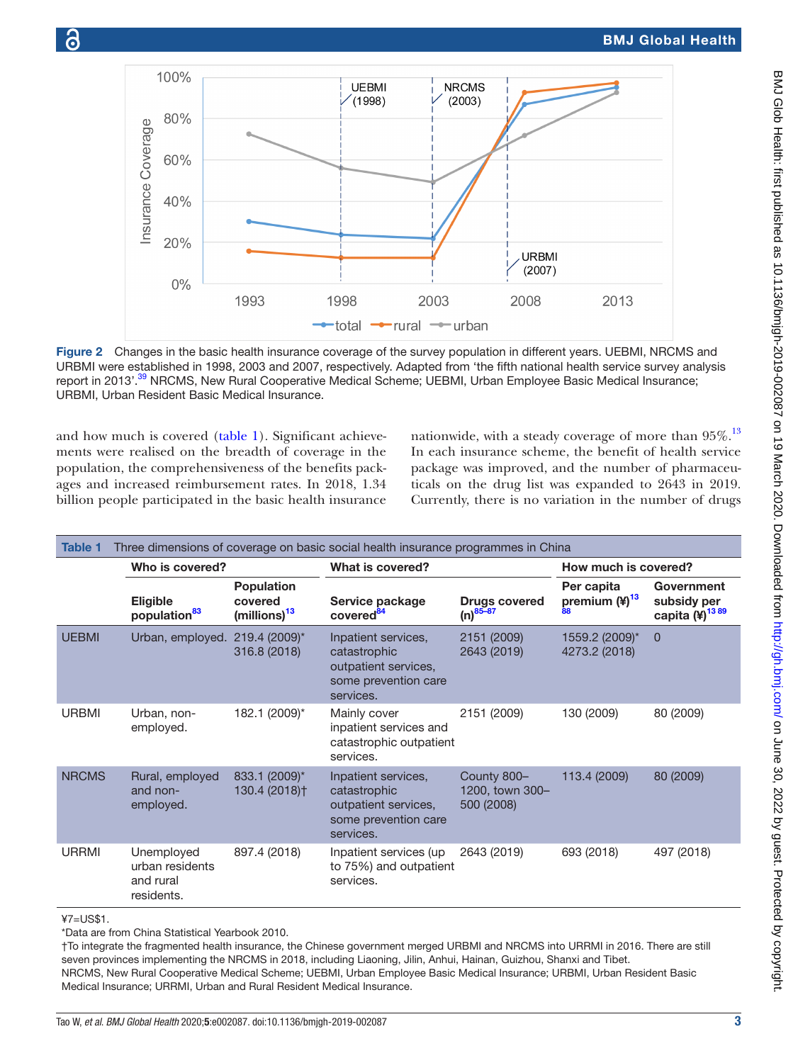

<span id="page-2-0"></span>Figure 2 Changes in the basic health insurance coverage of the survey population in different years. UEBMI, NRCMS and URBMI were established in 1998, 2003 and 2007, respectively. Adapted from 'the fifth national health service survey analysis report in 2013'.<sup>39</sup> NRCMS, New Rural Cooperative Medical Scheme; UEBMI, Urban Employee Basic Medical Insurance; URBMI, Urban Resident Basic Medical Insurance.

and how much is covered [\(table](#page-2-1) 1). Significant achievements were realised on the breadth of coverage in the population, the comprehensiveness of the benefits packages and increased reimbursement rates. In 2018, 1.34 billion people participated in the basic health insurance nationwide, with a steady coverage of more than  $95\%$ .<sup>13</sup> In each insurance scheme, the benefit of health service package was improved, and the number of pharmaceuticals on the drug list was expanded to 2643 in 2019. Currently, there is no variation in the number of drugs

<span id="page-2-1"></span>

| Three dimensions of coverage on basic social health insurance programmes in China<br>Table 1 |                                                          |                                                          |                                                                                                  |                                              |                                               |                                                         |
|----------------------------------------------------------------------------------------------|----------------------------------------------------------|----------------------------------------------------------|--------------------------------------------------------------------------------------------------|----------------------------------------------|-----------------------------------------------|---------------------------------------------------------|
|                                                                                              | Who is covered?                                          |                                                          | What is covered?                                                                                 |                                              | How much is covered?                          |                                                         |
|                                                                                              | <b>Eligible</b><br>population <sup>83</sup>              | <b>Population</b><br>covered<br>(millions) <sup>13</sup> | Service package<br>covered <sup>84</sup>                                                         | <b>Drugs covered</b><br>$(n)^{85-87}$        | Per capita<br>premium (¥) <sup>13</sup><br>88 | Government<br>subsidy per<br>capita (¥) <sup>1389</sup> |
| <b>UEBMI</b>                                                                                 | Urban, employed. 219.4 (2009)*                           | 316.8 (2018)                                             | Inpatient services,<br>catastrophic<br>outpatient services,<br>some prevention care<br>services. | 2151 (2009)<br>2643 (2019)                   | 1559.2 (2009)*<br>4273.2 (2018)               | $\mathbf 0$                                             |
| <b>URBMI</b>                                                                                 | Urban, non-<br>employed.                                 | 182.1 (2009)*                                            | Mainly cover<br>inpatient services and<br>catastrophic outpatient<br>services.                   | 2151 (2009)                                  | 130 (2009)                                    | 80 (2009)                                               |
| <b>NRCMS</b>                                                                                 | Rural, employed<br>and non-<br>employed.                 | 833.1 (2009)*<br>130.4 (2018) <sup>+</sup>               | Inpatient services,<br>catastrophic<br>outpatient services,<br>some prevention care<br>services. | County 800-<br>1200, town 300-<br>500 (2008) | 113.4 (2009)                                  | 80 (2009)                                               |
| <b>URRMI</b>                                                                                 | Unemployed<br>urban residents<br>and rural<br>residents. | 897.4 (2018)                                             | Inpatient services (up<br>to 75%) and outpatient<br>services.                                    | 2643 (2019)                                  | 693 (2018)                                    | 497 (2018)                                              |

¥7=US\$1.

\*Data are from China Statistical Yearbook 2010.

†To integrate the fragmented health insurance, the Chinese government merged URBMI and NRCMS into URRMI in 2016. There are still seven provinces implementing the NRCMS in 2018, including Liaoning, Jilin, Anhui, Hainan, Guizhou, Shanxi and Tibet. NRCMS, New Rural Cooperative Medical Scheme; UEBMI, Urban Employee Basic Medical Insurance; URBMI, Urban Resident Basic

Medical Insurance; URRMI, Urban and Rural Resident Medical Insurance.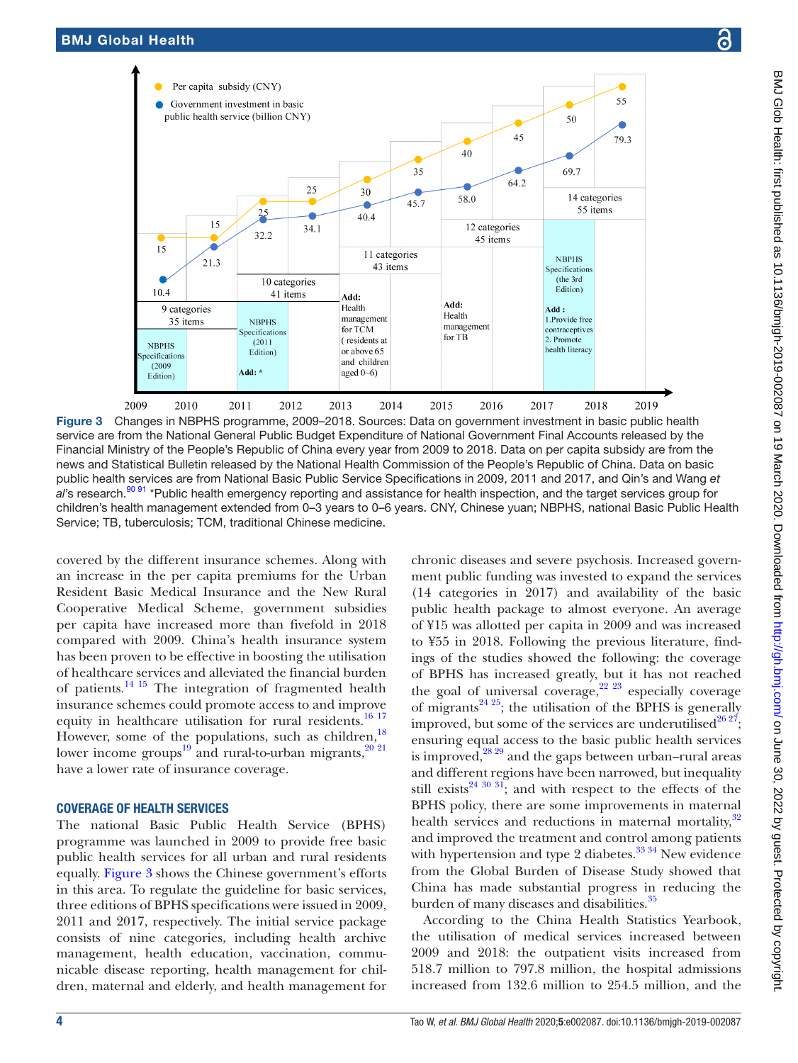

<span id="page-3-0"></span>Figure 3 Changes in NBPHS programme, 2009–2018. Sources: Data on government investment in basic public health service are from the National General Public Budget Expenditure of National Government Final Accounts released by the Financial Ministry of the People's Republic of China every year from 2009 to 2018. Data on per capita subsidy are from the news and Statistical Bulletin released by the National Health Commission of the People's Republic of China. Data on basic public health services are from National Basic Public Service Specifications in 2009, 2011 and 2017, and Qin's and Wang *et*  al's research.<sup>[90 91](#page-9-3)</sup> \*Public health emergency reporting and assistance for health inspection, and the target services group for children's health management extended from 0–3 years to 0–6 years. CNY, Chinese yuan; NBPHS, national Basic Public Health Service; TB, tuberculosis; TCM, traditional Chinese medicine.

covered by the different insurance schemes. Along with an increase in the per capita premiums for the Urban Resident Basic Medical Insurance and the New Rural Cooperative Medical Scheme, government subsidies per capita have increased more than fivefold in 2018 compared with 2009. China's health insurance system has been proven to be effective in boosting the utilisation of healthcare services and alleviated the financial burden of patients.[14 15](#page-7-11) The integration of fragmented health insurance schemes could promote access to and improve equity in healthcare utilisation for rural residents. $16 17$ However, some of the populations, such as children,<sup>[18](#page-7-13)</sup> lower income groups<sup>19</sup> and rural-to-urban migrants,<sup>20 21</sup> have a lower rate of insurance coverage.

#### Coverage of health services

The national Basic Public Health Service (BPHS) programme was launched in 2009 to provide free basic public health services for all urban and rural residents equally. [Figure](#page-3-0) 3 shows the Chinese government's efforts in this area. To regulate the guideline for basic services, three editions of BPHS specifications were issued in 2009, 2011 and 2017, respectively. The initial service package consists of nine categories, including health archive management, health education, vaccination, communicable disease reporting, health management for children, maternal and elderly, and health management for

chronic diseases and severe psychosis. Increased government public funding was invested to expand the services (14 categories in 2017) and availability of the basic public health package to almost everyone. An average of ¥15 was allotted per capita in 2009 and was increased to ¥55 in 2018. Following the previous literature, findings of the studies showed the following: the coverage of BPHS has increased greatly, but it has not reached the goal of universal coverage,  $22^{22}$  especially coverage of migrants<sup>24 25</sup>; the utilisation of the BPHS is generally improved, but some of the services are underutilised<sup>26 27</sup>; ensuring equal access to the basic public health services is improved, $28\frac{29}{29}$  and the gaps between urban–rural areas and different regions have been narrowed, but inequality still exists<sup>[24 30 31](#page-7-17)</sup>; and with respect to the effects of the BPHS policy, there are some improvements in maternal health services and reductions in maternal mortality,<sup>[32](#page-8-2)</sup> and improved the treatment and control among patients with hypertension and type 2 diabetes. $3334$  New evidence from the Global Burden of Disease Study showed that China has made substantial progress in reducing the burden of many diseases and disabilities.<sup>[35](#page-8-4)</sup>

According to the China Health Statistics Yearbook, the utilisation of medical services increased between 2009 and 2018: the outpatient visits increased from 518.7 million to 797.8 million, the hospital admissions increased from 132.6 million to 254.5 million, and the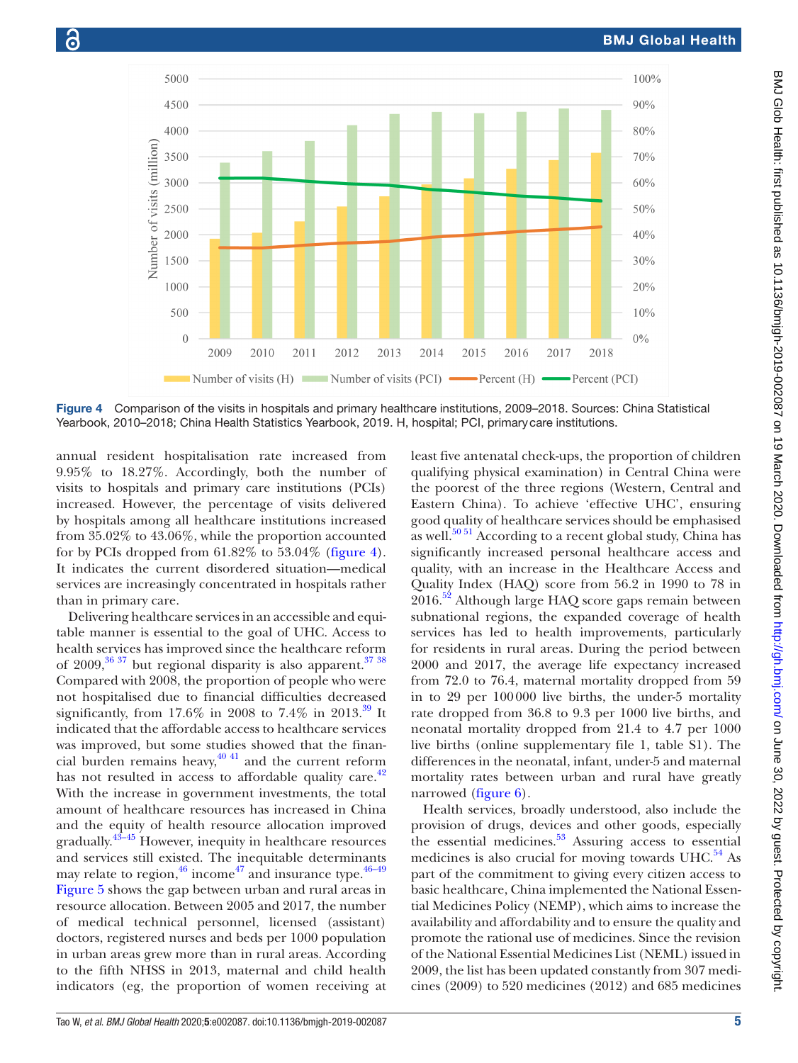

<span id="page-4-0"></span>Figure 4 Comparison of the visits in hospitals and primary healthcare institutions, 2009–2018. Sources: China Statistical Yearbook, 2010–2018; China Health Statistics Yearbook, 2019. H, hospital; PCI, primarycare institutions.

annual resident hospitalisation rate increased from 9.95% to 18.27%. Accordingly, both the number of visits to hospitals and primary care institutions (PCIs) increased. However, the percentage of visits delivered by hospitals among all healthcare institutions increased from 35.02% to 43.06%, while the proportion accounted for by PCIs dropped from  $61.82\%$  to  $53.04\%$  [\(figure](#page-4-0) 4). It indicates the current disordered situation—medical services are increasingly concentrated in hospitals rather than in primary care.

Delivering healthcare services in an accessible and equitable manner is essential to the goal of UHC. Access to health services has improved since the healthcare reform of  $2009<sup>36</sup>$ , 37 but regional disparity is also apparent.<sup>[37 38](#page-8-6)</sup> Compared with 2008, the proportion of people who were not hospitalised due to financial difficulties decreased significantly, from  $17.6\%$  in 2008 to 7.4% in 2013.<sup>[39](#page-8-0)</sup> It indicated that the affordable access to healthcare services was improved, but some studies showed that the financial burden remains heavy, $40\frac{41}{11}$  and the current reform has not resulted in access to affordable quality care. $42$ With the increase in government investments, the total amount of healthcare resources has increased in China and the equity of health resource allocation improved gradually.[43–45](#page-8-9) However, inequity in healthcare resources and services still existed. The inequitable determinants may relate to region,  $46 \text{ income}^{47}$  $46 \text{ income}^{47}$  $46 \text{ income}^{47}$  and insurance type.  $46-49$ [Figure](#page-5-0) 5 shows the gap between urban and rural areas in resource allocation. Between 2005 and 2017, the number of medical technical personnel, licensed (assistant) doctors, registered nurses and beds per 1000 population in urban areas grew more than in rural areas. According to the fifth NHSS in 2013, maternal and child health indicators (eg, the proportion of women receiving at

least five antenatal check-ups, the proportion of children qualifying physical examination) in Central China were the poorest of the three regions (Western, Central and Eastern China). To achieve 'effective UHC', ensuring good quality of healthcare services should be emphasised as well.<sup>[50 51](#page-8-12)</sup> According to a recent global study, China has significantly increased personal healthcare access and quality, with an increase in the Healthcare Access and Quality Index (HAQ) score from 56.2 in 1990 to 78 in 2016.<sup>52</sup> Although large HAQ score gaps remain between subnational regions, the expanded coverage of health services has led to health improvements, particularly for residents in rural areas. During the period between 2000 and 2017, the average life expectancy increased from 72.0 to 76.4, maternal mortality dropped from 59 in to 29 per 100000 live births, the under-5 mortality rate dropped from 36.8 to 9.3 per 1000 live births, and neonatal mortality dropped from 21.4 to 4.7 per 1000 live births [\(online supplementary file 1, table S1\)](https://dx.doi.org/10.1136/bmjgh-2019-002087). The differences in the neonatal, infant, under-5 and maternal mortality rates between urban and rural have greatly narrowed [\(figure](#page-5-1) 6).

Health services, broadly understood, also include the provision of drugs, devices and other goods, especially the essential medicines. $53$  Assuring access to essential medicines is also crucial for moving towards UHC. $54$  As part of the commitment to giving every citizen access to basic healthcare, China implemented the National Essential Medicines Policy (NEMP), which aims to increase the availability and affordability and to ensure the quality and promote the rational use of medicines. Since the revision of the National Essential Medicines List (NEML) issued in 2009, the list has been updated constantly from 307 medicines (2009) to 520 medicines (2012) and 685 medicines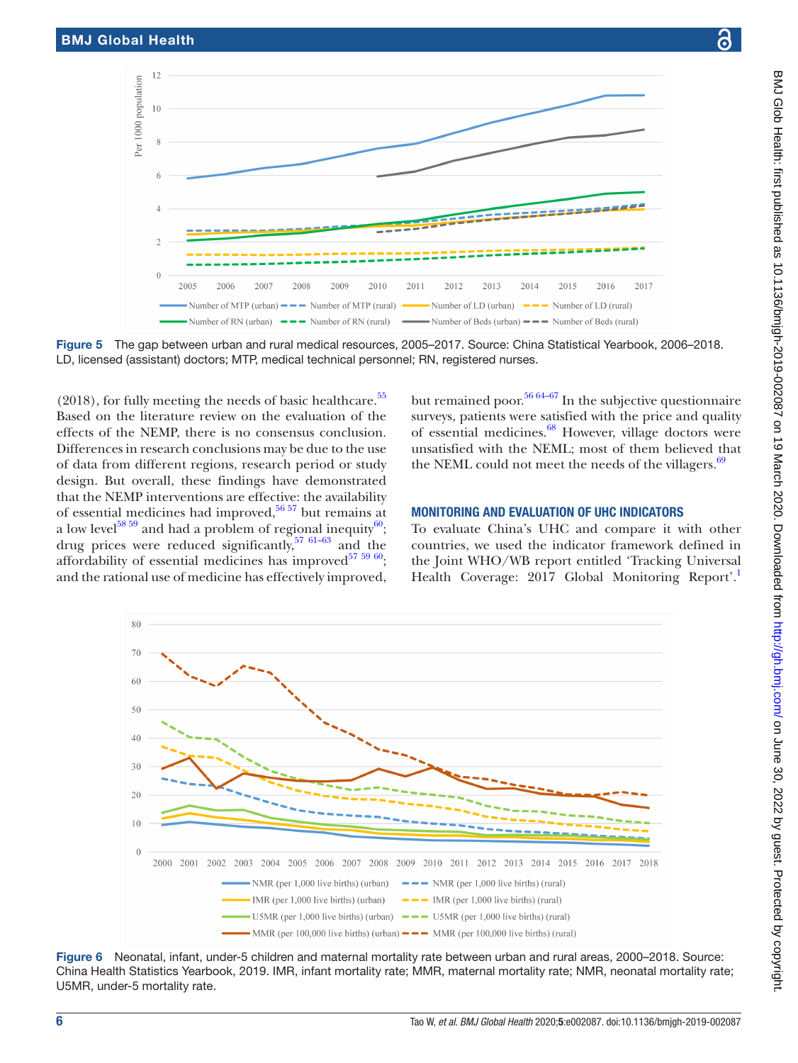

<span id="page-5-0"></span>Figure 5 The gap between urban and rural medical resources, 2005–2017. Source: China Statistical Yearbook, 2006–2018. LD, licensed (assistant) doctors; MTP, medical technical personnel; RN, registered nurses.

 $(2018)$ , for fully meeting the needs of basic healthcare.<sup>[55](#page-8-16)</sup> Based on the literature review on the evaluation of the effects of the NEMP, there is no consensus conclusion. Differences in research conclusions may be due to the use of data from different regions, research period or study design. But overall, these findings have demonstrated that the NEMP interventions are effective: the availability of essential medicines had improved,  $56\frac{57}{7}$  but remains at a low level $^{58\,59}$  and had a problem of regional inequity $^{60};$ drug prices were reduced significantly,  $5761-63$  and the affordability of essential medicines has improved $^{57}$   $^{59}$   $^{60}$ ; and the rational use of medicine has effectively improved,

but remained poor.<sup>56,64–67</sup> In the subjective questionnaire surveys, patients were satisfied with the price and quality of essential medicines.[68](#page-8-21) However, village doctors were unsatisfied with the NEML; most of them believed that the NEML could not meet the needs of the villagers.<sup>69</sup>

#### Monitoring and evaluation of UHC indicators

To evaluate China's UHC and compare it with other countries, we used the indicator framework defined in the Joint WHO/WB report entitled 'Tracking Universal Health Coverage: 2017 Global Monitoring Report'.



<span id="page-5-1"></span>Figure 6 Neonatal, infant, under-5 children and maternal mortality rate between urban and rural areas, 2000–2018. Source: China Health Statistics Yearbook, 2019. IMR, infant mortality rate; MMR, maternal mortality rate; NMR, neonatal mortality rate; U5MR, under-5 mortality rate.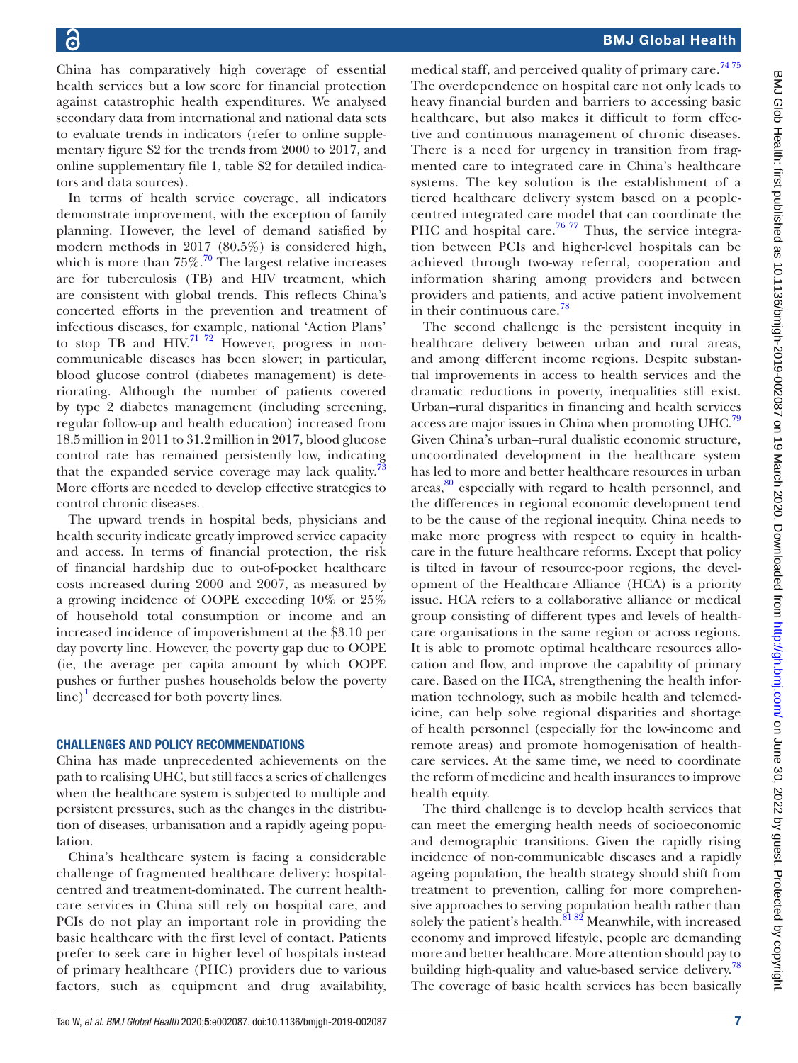China has comparatively high coverage of essential health services but a low score for financial protection against catastrophic health expenditures. We analysed secondary data from international and national data sets to evaluate trends in indicators (refer to [online supple](https://dx.doi.org/10.1136/bmjgh-2019-002087)[mentary figure S2](https://dx.doi.org/10.1136/bmjgh-2019-002087) for the trends from 2000 to 2017, and [online supplementary file 1, table S2](https://dx.doi.org/10.1136/bmjgh-2019-002087) for detailed indicators and data sources).

In terms of health service coverage, all indicators demonstrate improvement, with the exception of family planning. However, the level of demand satisfied by modern methods in 2017 (80.5%) is considered high, which is more than  $75\%$ .<sup>70</sup> The largest relative increases are for tuberculosis (TB) and HIV treatment, which are consistent with global trends. This reflects China's concerted efforts in the prevention and treatment of infectious diseases, for example, national 'Action Plans' to stop TB and  $HIV.<sup>71</sup>$  72 However, progress in noncommunicable diseases has been slower; in particular, blood glucose control (diabetes management) is deteriorating. Although the number of patients covered by type 2 diabetes management (including screening, regular follow-up and health education) increased from 18.5million in 2011 to 31.2million in 2017, blood glucose control rate has remained persistently low, indicating that the expanded service coverage may lack quality.<sup>[73](#page-8-25)</sup> More efforts are needed to develop effective strategies to control chronic diseases.

The upward trends in hospital beds, physicians and health security indicate greatly improved service capacity and access. In terms of financial protection, the risk of financial hardship due to out-of-pocket healthcare costs increased during 2000 and 2007, as measured by a growing incidence of OOPE exceeding 10% or 25% of household total consumption or income and an increased incidence of impoverishment at the \$3.10 per day poverty line. However, the poverty gap due to OOPE (ie, the average per capita amount by which OOPE pushes or further pushes households below the poverty  $\lim_{h \to 0}$ <sup>[1](#page-7-0)</sup> decreased for both poverty lines.

#### **CHALLENGES AND POLICY RECOMMENDATIONS**

China has made unprecedented achievements on the path to realising UHC, but still faces a series of challenges when the healthcare system is subjected to multiple and persistent pressures, such as the changes in the distribution of diseases, urbanisation and a rapidly ageing population.

China's healthcare system is facing a considerable challenge of fragmented healthcare delivery: hospitalcentred and treatment-dominated. The current healthcare services in China still rely on hospital care, and PCIs do not play an important role in providing the basic healthcare with the first level of contact. Patients prefer to seek care in higher level of hospitals instead of primary healthcare (PHC) providers due to various factors, such as equipment and drug availability,

medical staff, and perceived quality of primary care.<sup>7475</sup> The overdependence on hospital care not only leads to heavy financial burden and barriers to accessing basic healthcare, but also makes it difficult to form effective and continuous management of chronic diseases. There is a need for urgency in transition from fragmented care to integrated care in China's healthcare systems. The key solution is the establishment of a tiered healthcare delivery system based on a peoplecentred integrated care model that can coordinate the PHC and hospital care.<sup>76 77</sup> Thus, the service integration between PCIs and higher-level hospitals can be achieved through two-way referral, cooperation and information sharing among providers and between providers and patients, and active patient involvement in their continuous care.<sup>[78](#page-9-5)</sup>

The second challenge is the persistent inequity in healthcare delivery between urban and rural areas, and among different income regions. Despite substantial improvements in access to health services and the dramatic reductions in poverty, inequalities still exist. Urban–rural disparities in financing and health services access are major issues in China when promoting UHC.<sup>79</sup> Given China's urban–rural dualistic economic structure, uncoordinated development in the healthcare system has led to more and better healthcare resources in urban areas,<sup>80</sup> especially with regard to health personnel, and the differences in regional economic development tend to be the cause of the regional inequity. China needs to make more progress with respect to equity in healthcare in the future healthcare reforms. Except that policy is tilted in favour of resource-poor regions, the development of the Healthcare Alliance (HCA) is a priority issue. HCA refers to a collaborative alliance or medical group consisting of different types and levels of healthcare organisations in the same region or across regions. It is able to promote optimal healthcare resources allocation and flow, and improve the capability of primary care. Based on the HCA, strengthening the health information technology, such as mobile health and telemedicine, can help solve regional disparities and shortage of health personnel (especially for the low-income and remote areas) and promote homogenisation of healthcare services. At the same time, we need to coordinate the reform of medicine and health insurances to improve health equity.

The third challenge is to develop health services that can meet the emerging health needs of socioeconomic and demographic transitions. Given the rapidly rising incidence of non-communicable diseases and a rapidly ageing population, the health strategy should shift from treatment to prevention, calling for more comprehensive approaches to serving population health rather than solely the patient's health. $81 \times 10^{-10}$  Meanwhile, with increased economy and improved lifestyle, people are demanding more and better healthcare. More attention should pay to building high-quality and value-based service delivery.<sup>78</sup> The coverage of basic health services has been basically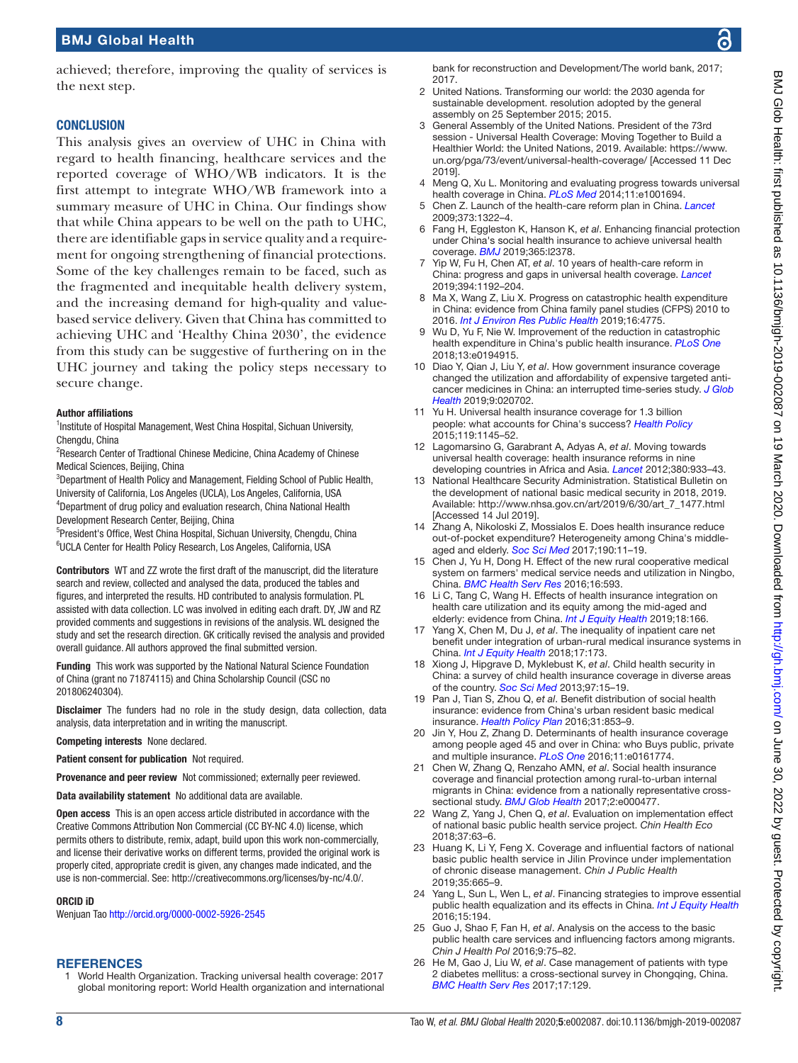achieved; therefore, improving the quality of services is the next step.

#### **CONCLUSION**

This analysis gives an overview of UHC in China with regard to health financing, healthcare services and the reported coverage of WHO/WB indicators. It is the first attempt to integrate WHO/WB framework into a summary measure of UHC in China. Our findings show that while China appears to be well on the path to UHC, there are identifiable gaps in service quality and a requirement for ongoing strengthening of financial protections. Some of the key challenges remain to be faced, such as the fragmented and inequitable health delivery system, and the increasing demand for high-quality and valuebased service delivery. Given that China has committed to achieving UHC and 'Healthy China 2030', the evidence from this study can be suggestive of furthering on in the UHC journey and taking the policy steps necessary to secure change.

#### Author affiliations

<sup>1</sup>Institute of Hospital Management, West China Hospital, Sichuan University, Chengdu, China

<sup>2</sup>Research Center of Tradtional Chinese Medicine, China Academy of Chinese Medical Sciences, Beijing, China

<sup>3</sup>Department of Health Policy and Management, Fielding School of Public Health, University of California, Los Angeles (UCLA), Los Angeles, California, USA <sup>4</sup>Department of drug policy and evaluation research, China National Health Development Research Center, Beijing, China

<sup>5</sup>President's Office, West China Hospital, Sichuan University, Chengdu, China 6 UCLA Center for Health Policy Research, Los Angeles, California, USA

Contributors WT and ZZ wrote the first draft of the manuscript, did the literature search and review, collected and analysed the data, produced the tables and figures, and interpreted the results. HD contributed to analysis formulation. PL assisted with data collection. LC was involved in editing each draft. DY, JW and RZ provided comments and suggestions in revisions of the analysis. WL designed the study and set the research direction. GK critically revised the analysis and provided overall guidance. All authors approved the final submitted version.

Funding This work was supported by the National Natural Science Foundation of China (grant no 71874115) and China Scholarship Council (CSC no 201806240304).

Disclaimer The funders had no role in the study design, data collection, data analysis, data interpretation and in writing the manuscript.

Competing interests None declared.

Patient consent for publication Not required.

Provenance and peer review Not commissioned; externally peer reviewed.

Data availability statement No additional data are available.

Open access This is an open access article distributed in accordance with the Creative Commons Attribution Non Commercial (CC BY-NC 4.0) license, which permits others to distribute, remix, adapt, build upon this work non-commercially, and license their derivative works on different terms, provided the original work is properly cited, appropriate credit is given, any changes made indicated, and the use is non-commercial. See: [http://creativecommons.org/licenses/by-nc/4.0/.](http://creativecommons.org/licenses/by-nc/4.0/)

#### ORCID iD

Wenjuan Tao <http://orcid.org/0000-0002-5926-2545>

#### **REFERENCES**

<span id="page-7-0"></span>1 World Health Organization. Tracking universal health coverage: 2017 global monitoring report: World Health organization and international bank for reconstruction and Development/The world bank, 2017; 2017.

- <span id="page-7-1"></span>United Nations. Transforming our world: the 2030 agenda for sustainable development. resolution adopted by the general assembly on 25 September 2015; 2015.
- <span id="page-7-2"></span>3 General Assembly of the United Nations. President of the 73rd session - Universal Health Coverage: Moving Together to Build a Healthier World: the United Nations, 2019. Available: [https://www.](https://www.un.org/pga/73/event/universal-health-coverage/) [un.org/pga/73/event/universal-health-coverage/](https://www.un.org/pga/73/event/universal-health-coverage/) [Accessed 11 Dec 2019].
- <span id="page-7-3"></span>4 Meng Q, Xu L. Monitoring and evaluating progress towards universal health coverage in China. *[PLoS Med](http://dx.doi.org/10.1371/journal.pmed.1001694)* 2014;11:e1001694.
- <span id="page-7-4"></span>5 Chen Z. Launch of the health-care reform plan in China. *[Lancet](http://dx.doi.org/10.1016/S0140-6736(09)60753-4)* 2009;373:1322–4.
- <span id="page-7-5"></span>6 Fang H, Eggleston K, Hanson K, *et al*. Enhancing financial protection under China's social health insurance to achieve universal health coverage. *[BMJ](http://dx.doi.org/10.1136/bmj.l2378)* 2019;365:l2378.
- <span id="page-7-6"></span>7 Yip W, Fu H, Chen AT, *et al*. 10 years of health-care reform in China: progress and gaps in universal health coverage. *[Lancet](http://dx.doi.org/10.1016/S0140-6736(19)32136-1)* 2019;394:1192–204.
- Ma X, Wang Z, Liu X. Progress on catastrophic health expenditure in China: evidence from China family panel studies (CFPS) 2010 to 2016. *[Int J Environ Res Public Health](http://dx.doi.org/10.3390/ijerph16234775)* 2019;16:4775.
- <span id="page-7-7"></span>Wu D, Yu F, Nie W. Improvement of the reduction in catastrophic health expenditure in China's public health insurance. *[PLoS One](http://dx.doi.org/10.1371/journal.pone.0194915)* 2018;13:e0194915.
- 10 Diao Y, Qian J, Liu Y, *et al*. How government insurance coverage changed the utilization and affordability of expensive targeted anticancer medicines in China: an interrupted time-series study. *[J Glob](http://dx.doi.org/10.7189/jogh.09.020702)  [Health](http://dx.doi.org/10.7189/jogh.09.020702)* 2019;9:020702.
- <span id="page-7-8"></span>11 Yu H. Universal health insurance coverage for 1.3 billion people: what accounts for China's success? *[Health Policy](http://dx.doi.org/10.1016/j.healthpol.2015.07.008)* 2015;119:1145–52.
- <span id="page-7-9"></span>12 Lagomarsino G, Garabrant A, Adyas A, *et al*. Moving towards universal health coverage: health insurance reforms in nine developing countries in Africa and Asia. *[Lancet](http://dx.doi.org/10.1016/S0140-6736(12)61147-7)* 2012;380:933–43.
- <span id="page-7-10"></span>13 National Healthcare Security Administration. Statistical Bulletin on the development of national basic medical security in 2018, 2019. Available: [http://www.nhsa.gov.cn/art/2019/6/30/art\\_7\\_1477.html](http://www.nhsa.gov.cn/art/2019/6/30/art_7_1477.html)  [Accessed 14 Jul 2019].
- <span id="page-7-11"></span>14 Zhang A, Nikoloski Z, Mossialos E. Does health insurance reduce out-of-pocket expenditure? Heterogeneity among China's middleaged and elderly. *[Soc Sci Med](http://dx.doi.org/10.1016/j.socscimed.2017.08.005)* 2017;190:11–19.
- 15 Chen J, Yu H, Dong H. Effect of the new rural cooperative medical system on farmers' medical service needs and utilization in Ningbo, China. *[BMC Health Serv Res](http://dx.doi.org/10.1186/s12913-016-1842-3)* 2016;16:593.
- <span id="page-7-12"></span>16 Li C, Tang C, Wang H. Effects of health insurance integration on health care utilization and its equity among the mid-aged and elderly: evidence from China. *[Int J Equity Health](http://dx.doi.org/10.1186/s12939-019-1068-1)* 2019;18:166.
- 17 Yang X, Chen M, Du J, *et al*. The inequality of inpatient care net benefit under integration of urban-rural medical insurance systems in China. *[Int J Equity Health](http://dx.doi.org/10.1186/s12939-018-0891-0)* 2018;17:173.
- <span id="page-7-13"></span>18 Xiong J, Hipgrave D, Myklebust K, *et al*. Child health security in China: a survey of child health insurance coverage in diverse areas of the country. *[Soc Sci Med](http://dx.doi.org/10.1016/j.socscimed.2013.08.006)* 2013;97:15–19.
- <span id="page-7-14"></span>19 Pan J, Tian S, Zhou Q, *et al*. Benefit distribution of social health insurance: evidence from China's urban resident basic medical insurance. *[Health Policy Plan](http://dx.doi.org/10.1093/heapol/czv141)* 2016;31:853–9.
- <span id="page-7-15"></span>20 Jin Y, Hou Z, Zhang D. Determinants of health insurance coverage among people aged 45 and over in China: who Buys public, private and multiple insurance. *[PLoS One](http://dx.doi.org/10.1371/journal.pone.0161774)* 2016;11:e0161774.
- 21 Chen W, Zhang Q, Renzaho AMN, *et al*. Social health insurance coverage and financial protection among rural-to-urban internal migrants in China: evidence from a nationally representative crosssectional study. *[BMJ Glob Health](http://dx.doi.org/10.1136/bmjgh-2017-000477)* 2017;2:e000477.
- <span id="page-7-16"></span>22 Wang Z, Yang J, Chen Q, *et al*. Evaluation on implementation effect of national basic public health service project. *Chin Health Eco* 2018;37:63–6.
- 23 Huang K, Li Y, Feng X. Coverage and influential factors of national basic public health service in Jilin Province under implementation of chronic disease management. *Chin J Public Health* 2019;35:665–9.
- <span id="page-7-17"></span>24 Yang L, Sun L, Wen L, *et al*. Financing strategies to improve essential public health equalization and its effects in China. *[Int J Equity Health](http://dx.doi.org/10.1186/s12939-016-0482-x)* 2016;15:194.
- 25 Guo J, Shao F, Fan H, *et al*. Analysis on the access to the basic public health care services and influencing factors among migrants. *Chin J Health Pol* 2016;9:75–82.
- <span id="page-7-18"></span>26 He M, Gao J, Liu W, *et al*. Case management of patients with type 2 diabetes mellitus: a cross-sectional survey in Chongqing, China. *[BMC Health Serv Res](http://dx.doi.org/10.1186/s12913-017-2039-0)* 2017;17:129.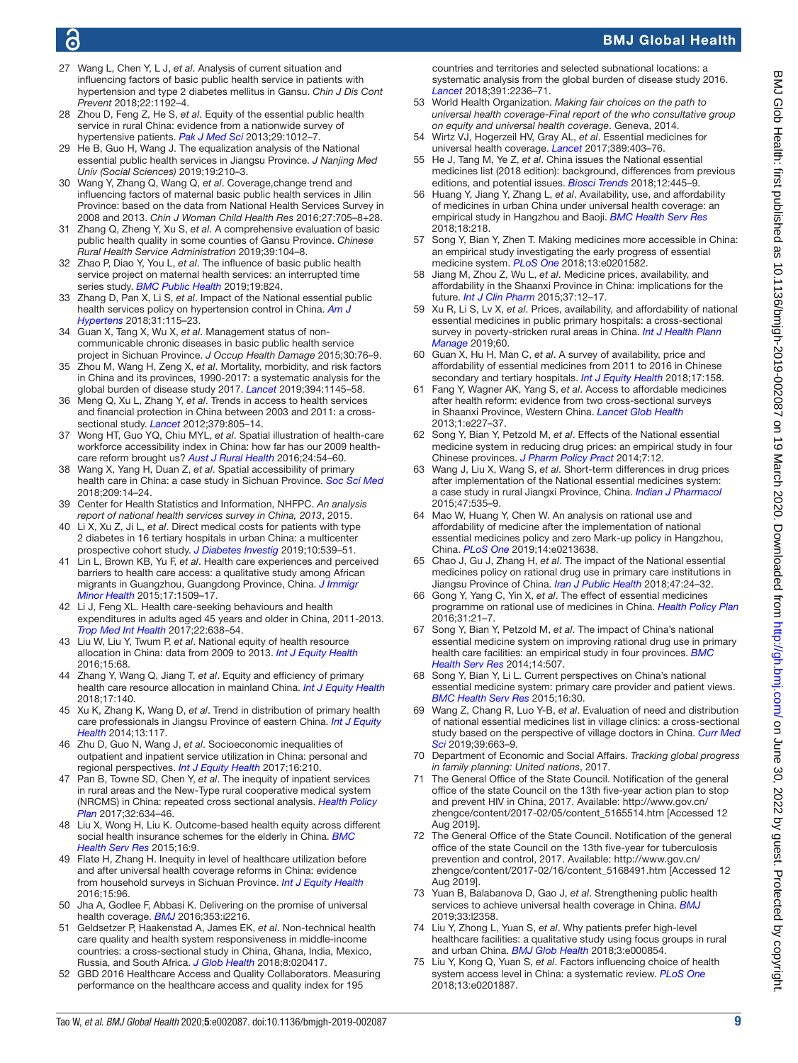# G

# BMJ Global Health

- 27 Wang L, Chen Y, L J, *et al*. Analysis of current situation and influencing factors of basic public health service in patients with hypertension and type 2 diabetes mellitus in Gansu. *Chin J Dis Cont Prevent* 2018;22:1192–4.
- <span id="page-8-1"></span>28 Zhou D, Feng Z, He S, *et al*. Equity of the essential public health service in rural China: evidence from a nationwide survey of hypertensive patients. *[Pak J Med Sci](http://dx.doi.org/10.12669/pjms.294.3773)* 2013;29:1012–7.
- 29 He B, Guo H, Wang J. The equalization analysis of the National essential public health services in Jiangsu Province. *J Nanjing Med Univ (Social Sciences)* 2019;19:210–3.
- 30 Wang Y, Zhang Q, Wang Q, *et al*. Coverage,change trend and influencing factors of maternal basic public health services in Jilin Province: based on the data from National Health Services Survey in 2008 and 2013. *Chin J Woman Child Health Res* 2016;27:705–8+28.
- 31 Zhang Q, Zheng Y, Xu S, *et al*. A comprehensive evaluation of basic public health quality in some counties of Gansu Province. *Chinese Rural Health Service Administration* 2019;39:104–8.
- <span id="page-8-2"></span>32 Zhao P, Diao Y, You L, *et al*. The influence of basic public health service project on maternal health services: an interrupted time series study. *[BMC Public Health](http://dx.doi.org/10.1186/s12889-019-7207-1)* 2019;19:824.
- <span id="page-8-3"></span>33 Zhang D, Pan X, Li S, *et al*. Impact of the National essential public health services policy on hypertension control in China. *[Am J](http://dx.doi.org/10.1093/ajh/hpx139)  [Hypertens](http://dx.doi.org/10.1093/ajh/hpx139)* 2018;31:115–23.
- 34 Guan X, Tang X, Wu X, *et al*. Management status of noncommunicable chronic diseases in basic public health service project in Sichuan Province. *J Occup Health Damage* 2015;30:76–9.
- <span id="page-8-4"></span>35 Zhou M, Wang H, Zeng X, *et al*. Mortality, morbidity, and risk factors in China and its provinces, 1990-2017: a systematic analysis for the global burden of disease study 2017. *[Lancet](http://dx.doi.org/10.1016/S0140-6736(19)30427-1)* 2019;394:1145–58.
- <span id="page-8-5"></span>36 Meng Q, Xu L, Zhang Y, *et al*. Trends in access to health services and financial protection in China between 2003 and 2011: a crosssectional study. *[Lancet](http://dx.doi.org/10.1016/S0140-6736(12)60278-5)* 2012;379:805–14.
- <span id="page-8-6"></span>37 Wong HT, Guo YQ, Chiu MYL, *et al*. Spatial illustration of health-care workforce accessibility index in China: how far has our 2009 healthcare reform brought us? *[Aust J Rural Health](http://dx.doi.org/10.1111/ajr.12198)* 2016;24:54–60.
- 38 Wang X, Yang H, Duan Z, *et al*. Spatial accessibility of primary health care in China: a case study in Sichuan Province. *[Soc Sci Med](http://dx.doi.org/10.1016/j.socscimed.2018.05.023)* 2018;209:14–24.
- <span id="page-8-0"></span>39 Center for Health Statistics and Information, NHFPC. *An analysis report of national health services survey in China, 2013*, 2015.
- <span id="page-8-7"></span>40 Li X, Xu Z, Ji L, *et al*. Direct medical costs for patients with type 2 diabetes in 16 tertiary hospitals in urban China: a multicenter prospective cohort study. *[J Diabetes Investig](http://dx.doi.org/10.1111/jdi.12905)* 2019;10:539–51.
- 41 Lin L, Brown KB, Yu F, *et al*. Health care experiences and perceived barriers to health care access: a qualitative study among African migrants in Guangzhou, Guangdong Province, China. *[J Immigr](http://dx.doi.org/10.1007/s10903-014-0114-8)  [Minor Health](http://dx.doi.org/10.1007/s10903-014-0114-8)* 2015;17:1509–17.
- <span id="page-8-8"></span>42 Li J, Feng XL. Health care-seeking behaviours and health expenditures in adults aged 45 years and older in China, 2011-2013. *[Trop Med Int Health](http://dx.doi.org/10.1111/tmi.12865)* 2017;22:638–54.
- <span id="page-8-9"></span>43 Liu W, Liu Y, Twum P, *et al*. National equity of health resource allocation in China: data from 2009 to 2013. *[Int J Equity Health](http://dx.doi.org/10.1186/s12939-016-0357-1)* 2016;15:68.
- 44 Zhang Y, Wang Q, Jiang T, *et al*. Equity and efficiency of primary health care resource allocation in mainland China. *[Int J Equity Health](http://dx.doi.org/10.1186/s12939-018-0851-8)* 2018;17:140.
- 45 Xu K, Zhang K, Wang D, *et al*. Trend in distribution of primary health care professionals in Jiangsu Province of eastern China. *[Int J Equity](http://dx.doi.org/10.1186/s12939-014-0117-z)  [Health](http://dx.doi.org/10.1186/s12939-014-0117-z)* 2014;13:117.
- <span id="page-8-10"></span>46 Zhu D, Guo N, Wang J, *et al*. Socioeconomic inequalities of outpatient and inpatient service utilization in China: personal and regional perspectives. *[Int J Equity Health](http://dx.doi.org/10.1186/s12939-017-0706-8)* 2017;16:210.
- <span id="page-8-11"></span>47 Pan B, Towne SD, Chen Y, *et al*. The inequity of inpatient services in rural areas and the New-Type rural cooperative medical system (NRCMS) in China: repeated cross sectional analysis. *[Health Policy](http://dx.doi.org/10.1093/heapol/czw175)  [Plan](http://dx.doi.org/10.1093/heapol/czw175)* 2017;32:634–46.
- 48 Liu X, Wong H, Liu K. Outcome-based health equity across different social health insurance schemes for the elderly in China. *[BMC](http://dx.doi.org/10.1186/s12913-016-1261-5)  [Health Serv Res](http://dx.doi.org/10.1186/s12913-016-1261-5)* 2015;16:9.
- 49 Flatø H, Zhang H. Inequity in level of healthcare utilization before and after universal health coverage reforms in China: evidence from household surveys in Sichuan Province. *[Int J Equity Health](http://dx.doi.org/10.1186/s12939-016-0385-x)* 2016;15:96.
- <span id="page-8-12"></span>50 Jha A, Godlee F, Abbasi K. Delivering on the promise of universal health coverage. *[BMJ](http://dx.doi.org/10.1136/bmj.i2216)* 2016;353:i2216.
- 51 Geldsetzer P, Haakenstad A, James EK, *et al*. Non-technical health care quality and health system responsiveness in middle-income countries: a cross-sectional study in China, Ghana, India, Mexico, Russia, and South Africa. *[J Glob Health](http://dx.doi.org/10.7189/jogh.08.020417)* 2018;8:020417.
- <span id="page-8-13"></span>52 GBD 2016 Healthcare Access and Quality Collaborators. Measuring performance on the healthcare access and quality index for 195

countries and territories and selected subnational locations: a systematic analysis from the global burden of disease study 2016. *[Lancet](http://dx.doi.org/10.1016/S0140-6736(18)30994-2)* 2018;391:2236–71.

- <span id="page-8-14"></span>53 World Health Organization. *Making fair choices on the path to universal health coverage-Final report of the who consultative group on equity and universal health coverage*. Geneva, 2014.
- <span id="page-8-15"></span>54 Wirtz VJ, Hogerzeil HV, Gray AL, *et al*. Essential medicines for universal health coverage. *[Lancet](http://dx.doi.org/10.1016/S0140-6736(16)31599-9)* 2017;389:403–76.
- <span id="page-8-16"></span>55 He J, Tang M, Ye Z, *et al*. China issues the National essential medicines list (2018 edition): background, differences from previous editions, and potential issues. *[Biosci Trends](http://dx.doi.org/10.5582/bst.2018.01265)* 2018;12:445–9.
- <span id="page-8-17"></span>56 Huang Y, Jiang Y, Zhang L, *et al*. Availability, use, and affordability of medicines in urban China under universal health coverage: an empirical study in Hangzhou and Baoji. *[BMC Health Serv Res](http://dx.doi.org/10.1186/s12913-018-2993-1)* 2018;18:218.
- <span id="page-8-20"></span>57 Song Y, Bian Y, Zhen T. Making medicines more accessible in China: an empirical study investigating the early progress of essential medicine system. *[PLoS One](http://dx.doi.org/10.1371/journal.pone.0201582)* 2018;13:e0201582.
- <span id="page-8-18"></span>58 Jiang M, Zhou Z, Wu L, *et al*. Medicine prices, availability, and affordability in the Shaanxi Province in China: implications for the future. *[Int J Clin Pharm](http://dx.doi.org/10.1007/s11096-014-0037-4)* 2015;37:12–17.
- 59 Xu R, Li S, Lv X, *et al*. Prices, availability, and affordability of national essential medicines in public primary hospitals: a cross‐sectional survey in poverty‐stricken rural areas in China. *[Int J Health Plann](http://dx.doi.org/10.1002/hpm.2963)  [Manage](http://dx.doi.org/10.1002/hpm.2963)* 2019;60.
- <span id="page-8-19"></span>60 Guan X, Hu H, Man C, *et al*. A survey of availability, price and affordability of essential medicines from 2011 to 2016 in Chinese secondary and tertiary hospitals. *[Int J Equity Health](http://dx.doi.org/10.1186/s12939-018-0870-5)* 2018;17:158.
- 61 Fang Y, Wagner AK, Yang S, *et al*. Access to affordable medicines after health reform: evidence from two cross-sectional surveys in Shaanxi Province, Western China. *[Lancet Glob Health](http://dx.doi.org/10.1016/S2214-109X(13)70072-X)* 2013;1:e227–37.
- 62 Song Y, Bian Y, Petzold M, *et al*. Effects of the National essential medicine system in reducing drug prices: an empirical study in four Chinese provinces. *[J Pharm Policy Pract](http://dx.doi.org/10.1186/2052-3211-7-12)* 2014;7:12.
- 63 Wang J, Liu X, Wang S, *et al*. Short-term differences in drug prices after implementation of the National essential medicines system: a case study in rural Jiangxi Province, China. *[Indian J Pharmacol](http://dx.doi.org/10.4103/0253-7613.165192)* 2015;47:535–9.
- 64 Mao W, Huang Y, Chen W. An analysis on rational use and affordability of medicine after the implementation of national essential medicines policy and zero Mark-up policy in Hangzhou, China. *[PLoS One](http://dx.doi.org/10.1371/journal.pone.0213638)* 2019;14:e0213638.
- 65 Chao J, Gu J, Zhang H, *et al*. The impact of the National essential medicines policy on rational drug use in primary care institutions in Jiangsu Province of China. *[Iran J Public Health](http://www.ncbi.nlm.nih.gov/pubmed/29318114)* 2018;47:24–32.
- 66 Gong Y, Yang C, Yin X, *et al*. The effect of essential medicines programme on rational use of medicines in China. *[Health Policy Plan](http://dx.doi.org/10.1093/heapol/czv008)* 2016;31:21–7.
- 67 Song Y, Bian Y, Petzold M, *et al*. The impact of China's national essential medicine system on improving rational drug use in primary health care facilities: an empirical study in four provinces. *[BMC](http://dx.doi.org/10.1186/s12913-014-0507-3)  [Health Serv Res](http://dx.doi.org/10.1186/s12913-014-0507-3)* 2014;14:507.
- <span id="page-8-21"></span>68 Song Y, Bian Y, Li L. Current perspectives on China's national essential medicine system: primary care provider and patient views. *[BMC Health Serv Res](http://dx.doi.org/10.1186/s12913-016-1283-z)* 2015;16:30.
- <span id="page-8-22"></span>69 Wang Z, Chang R, Luo Y-B, *et al*. Evaluation of need and distribution of national essential medicines list in village clinics: a cross-sectional study based on the perspective of village doctors in China. *[Curr Med](http://dx.doi.org/10.1007/s11596-019-2089-0)  [Sci](http://dx.doi.org/10.1007/s11596-019-2089-0)* 2019;39:663–9.
- <span id="page-8-23"></span>70 Department of Economic and Social Affairs. *Tracking global progress in family planning: United nations*, 2017.
- <span id="page-8-24"></span>The General Office of the State Council. Notification of the general office of the state Council on the 13th five-year action plan to stop and prevent HIV in China, 2017. Available: [http://www.gov.cn/](http://www.gov.cn/zhengce/content/2017-02/05/content_5165514.htm) [zhengce/content/2017-02/05/content\\_5165514.htm](http://www.gov.cn/zhengce/content/2017-02/05/content_5165514.htm) [Accessed 12 Aug 2019].
- 72 The General Office of the State Council. Notification of the general office of the state Council on the 13th five-year for tuberculosis prevention and control, 2017. Available: [http://www.gov.cn/](http://www.gov.cn/zhengce/content/2017-02/16/content_5168491.htm) [zhengce/content/2017-02/16/content\\_5168491.htm](http://www.gov.cn/zhengce/content/2017-02/16/content_5168491.htm) [Accessed 12 Aug 2019].
- <span id="page-8-25"></span>73 Yuan B, Balabanova D, Gao J, *et al*. Strengthening public health services to achieve universal health coverage in China. *[BMJ](http://dx.doi.org/10.1136/bmj.l2358)* 2019;33:l2358.
- <span id="page-8-26"></span>74 Liu Y, Zhong L, Yuan S, *et al*. Why patients prefer high-level healthcare facilities: a qualitative study using focus groups in rural and urban China. *[BMJ Glob Health](http://dx.doi.org/10.1136/bmjgh-2018-000854)* 2018;3:e000854.
- 75 Liu Y, Kong Q, Yuan S, *et al*. Factors influencing choice of health system access level in China: a systematic review. *[PLoS One](http://dx.doi.org/10.1371/journal.pone.0201887)* 2018;13:e0201887.